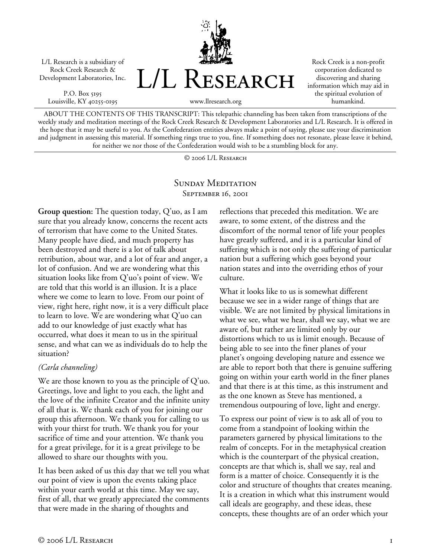L/L Research is a subsidiary of Rock Creek Research & Development Laboratories, Inc.

P.O. Box 5195 Louisville, KY 40255-0195



Rock Creek is a non-profit corporation dedicated to discovering and sharing information which may aid in the spiritual evolution of humankind.

www.llresearch.org

ABOUT THE CONTENTS OF THIS TRANSCRIPT: This telepathic channeling has been taken from transcriptions of the weekly study and meditation meetings of the Rock Creek Research & Development Laboratories and L/L Research. It is offered in the hope that it may be useful to you. As the Confederation entities always make a point of saying, please use your discrimination and judgment in assessing this material. If something rings true to you, fine. If something does not resonate, please leave it behind, for neither we nor those of the Confederation would wish to be a stumbling block for any.

© 2006 L/L Research

# SUNDAY MEDITATION SEPTEMBER 16, 2001

**Group question:** The question today, Q'uo, as I am sure that you already know, concerns the recent acts of terrorism that have come to the United States. Many people have died, and much property has been destroyed and there is a lot of talk about retribution, about war, and a lot of fear and anger, a lot of confusion. And we are wondering what this situation looks like from Q'uo's point of view. We are told that this world is an illusion. It is a place where we come to learn to love. From our point of view, right here, right now, it is a very difficult place to learn to love. We are wondering what Q'uo can add to our knowledge of just exactly what has occurred, what does it mean to us in the spiritual sense, and what can we as individuals do to help the situation?

### *(Carla channeling)*

We are those known to you as the principle of Q'uo. Greetings, love and light to you each, the light and the love of the infinite Creator and the infinite unity of all that is. We thank each of you for joining our group this afternoon. We thank you for calling to us with your thirst for truth. We thank you for your sacrifice of time and your attention. We thank you for a great privilege, for it is a great privilege to be allowed to share our thoughts with you.

It has been asked of us this day that we tell you what our point of view is upon the events taking place within your earth world at this time. May we say, first of all, that we greatly appreciated the comments that were made in the sharing of thoughts and

reflections that preceded this meditation. We are aware, to some extent, of the distress and the discomfort of the normal tenor of life your peoples have greatly suffered, and it is a particular kind of suffering which is not only the suffering of particular nation but a suffering which goes beyond your nation states and into the overriding ethos of your culture.

What it looks like to us is somewhat different because we see in a wider range of things that are visible. We are not limited by physical limitations in what we see, what we hear, shall we say, what we are aware of, but rather are limited only by our distortions which to us is limit enough. Because of being able to see into the finer planes of your planet's ongoing developing nature and essence we are able to report both that there is genuine suffering going on within your earth world in the finer planes and that there is at this time, as this instrument and as the one known as Steve has mentioned, a tremendous outpouring of love, light and energy.

To express our point of view is to ask all of you to come from a standpoint of looking within the parameters garnered by physical limitations to the realm of concepts. For in the metaphysical creation which is the counterpart of the physical creation, concepts are that which is, shall we say, real and form is a matter of choice. Consequently it is the color and structure of thoughts that creates meaning. It is a creation in which what this instrument would call ideals are geography, and these ideas, these concepts, these thoughts are of an order which your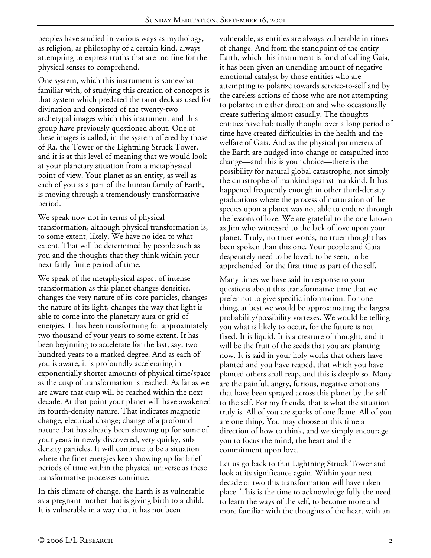peoples have studied in various ways as mythology, as religion, as philosophy of a certain kind, always attempting to express truths that are too fine for the physical senses to comprehend.

One system, which this instrument is somewhat familiar with, of studying this creation of concepts is that system which predated the tarot deck as used for divination and consisted of the twenty-two archetypal images which this instrument and this group have previously questioned about. One of these images is called, in the system offered by those of Ra, the Tower or the Lightning Struck Tower, and it is at this level of meaning that we would look at your planetary situation from a metaphysical point of view. Your planet as an entity, as well as each of you as a part of the human family of Earth, is moving through a tremendously transformative period.

We speak now not in terms of physical transformation, although physical transformation is, to some extent, likely. We have no idea to what extent. That will be determined by people such as you and the thoughts that they think within your next fairly finite period of time.

We speak of the metaphysical aspect of intense transformation as this planet changes densities, changes the very nature of its core particles, changes the nature of its light, changes the way that light is able to come into the planetary aura or grid of energies. It has been transforming for approximately two thousand of your years to some extent. It has been beginning to accelerate for the last, say, two hundred years to a marked degree. And as each of you is aware, it is profoundly accelerating in exponentially shorter amounts of physical time/space as the cusp of transformation is reached. As far as we are aware that cusp will be reached within the next decade. At that point your planet will have awakened its fourth-density nature. That indicates magnetic change, electrical change; change of a profound nature that has already been showing up for some of your years in newly discovered, very quirky, subdensity particles. It will continue to be a situation where the finer energies keep showing up for brief periods of time within the physical universe as these transformative processes continue.

In this climate of change, the Earth is as vulnerable as a pregnant mother that is giving birth to a child. It is vulnerable in a way that it has not been

vulnerable, as entities are always vulnerable in times of change. And from the standpoint of the entity Earth, which this instrument is fond of calling Gaia, it has been given an unending amount of negative emotional catalyst by those entities who are attempting to polarize towards service-to-self and by the careless actions of those who are not attempting to polarize in either direction and who occasionally create suffering almost casually. The thoughts entities have habitually thought over a long period of time have created difficulties in the health and the welfare of Gaia. And as the physical parameters of the Earth are nudged into change or catapulted into change—and this is your choice—there is the possibility for natural global catastrophe, not simply the catastrophe of mankind against mankind. It has happened frequently enough in other third-density graduations where the process of maturation of the species upon a planet was not able to endure through the lessons of love. We are grateful to the one known as Jim who witnessed to the lack of love upon your planet. Truly, no truer words, no truer thought has been spoken than this one. Your people and Gaia desperately need to be loved; to be seen, to be apprehended for the first time as part of the self.

Many times we have said in response to your questions about this transformative time that we prefer not to give specific information. For one thing, at best we would be approximating the largest probability/possibility vortexes. We would be telling you what is likely to occur, for the future is not fixed. It is liquid. It is a creature of thought, and it will be the fruit of the seeds that you are planting now. It is said in your holy works that others have planted and you have reaped, that which you have planted others shall reap, and this is deeply so. Many are the painful, angry, furious, negative emotions that have been sprayed across this planet by the self to the self. For my friends, that is what the situation truly is. All of you are sparks of one flame. All of you are one thing. You may choose at this time a direction of how to think, and we simply encourage you to focus the mind, the heart and the commitment upon love.

Let us go back to that Lightning Struck Tower and look at its significance again. Within your next decade or two this transformation will have taken place. This is the time to acknowledge fully the need to learn the ways of the self, to become more and more familiar with the thoughts of the heart with an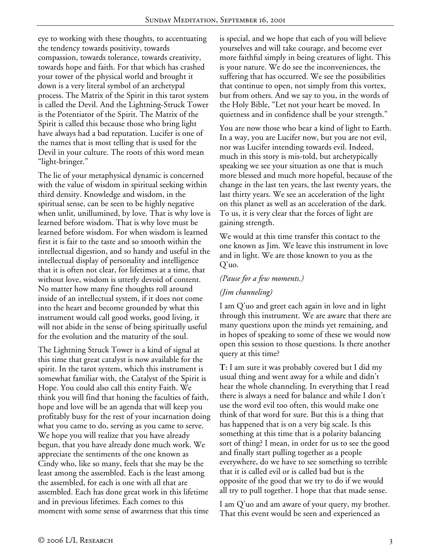eye to working with these thoughts, to accentuating the tendency towards positivity, towards compassion, towards tolerance, towards creativity, towards hope and faith. For that which has crashed your tower of the physical world and brought it down is a very literal symbol of an archetypal process. The Matrix of the Spirit in this tarot system is called the Devil. And the Lightning-Struck Tower is the Potentiator of the Spirit. The Matrix of the Spirit is called this because those who bring light have always had a bad reputation. Lucifer is one of the names that is most telling that is used for the Devil in your culture. The roots of this word mean "light-bringer."

The lie of your metaphysical dynamic is concerned with the value of wisdom in spiritual seeking within third density. Knowledge and wisdom, in the spiritual sense, can be seen to be highly negative when unlit, unillumined, by love. That is why love is learned before wisdom. That is why love must be learned before wisdom. For when wisdom is learned first it is fair to the taste and so smooth within the intellectual digestion, and so handy and useful in the intellectual display of personality and intelligence that it is often not clear, for lifetimes at a time, that without love, wisdom is utterly devoid of content. No matter how many fine thoughts roll around inside of an intellectual system, if it does not come into the heart and become grounded by what this instrument would call good works, good living, it will not abide in the sense of being spiritually useful for the evolution and the maturity of the soul.

The Lightning Struck Tower is a kind of signal at this time that great catalyst is now available for the spirit. In the tarot system, which this instrument is somewhat familiar with, the Catalyst of the Spirit is Hope. You could also call this entity Faith. We think you will find that honing the faculties of faith, hope and love will be an agenda that will keep you profitably busy for the rest of your incarnation doing what you came to do, serving as you came to serve. We hope you will realize that you have already begun, that you have already done much work. We appreciate the sentiments of the one known as Cindy who, like so many, feels that she may be the least among the assembled. Each is the least among the assembled, for each is one with all that are assembled. Each has done great work in this lifetime and in previous lifetimes. Each comes to this moment with some sense of awareness that this time

is special, and we hope that each of you will believe yourselves and will take courage, and become ever more faithful simply in being creatures of light. This is your nature. We do see the inconveniences, the suffering that has occurred. We see the possibilities that continue to open, not simply from this vortex, but from others. And we say to you, in the words of the Holy Bible, "Let not your heart be moved. In quietness and in confidence shall be your strength."

You are now those who bear a kind of light to Earth. In a way, you are Lucifer now, but you are not evil, nor was Lucifer intending towards evil. Indeed, much in this story is mis-told, but archetypically speaking we see your situation as one that is much more blessed and much more hopeful, because of the change in the last ten years, the last twenty years, the last thirty years. We see an acceleration of the light on this planet as well as an acceleration of the dark. To us, it is very clear that the forces of light are gaining strength.

We would at this time transfer this contact to the one known as Jim. We leave this instrument in love and in light. We are those known to you as the Q'uo.

### *(Pause for a few moments.)*

# *(Jim channeling)*

I am Q'uo and greet each again in love and in light through this instrument. We are aware that there are many questions upon the minds yet remaining, and in hopes of speaking to some of these we would now open this session to those questions. Is there another query at this time?

**T:** I am sure it was probably covered but I did my usual thing and went away for a while and didn't hear the whole channeling. In everything that I read there is always a need for balance and while I don't use the word evil too often, this would make one think of that word for sure. But this is a thing that has happened that is on a very big scale. Is this something at this time that is a polarity balancing sort of thing? I mean, in order for us to see the good and finally start pulling together as a people everywhere, do we have to see something so terrible that it is called evil or is called bad but is the opposite of the good that we try to do if we would all try to pull together. I hope that that made sense.

I am Q'uo and am aware of your query, my brother. That this event would be seen and experienced as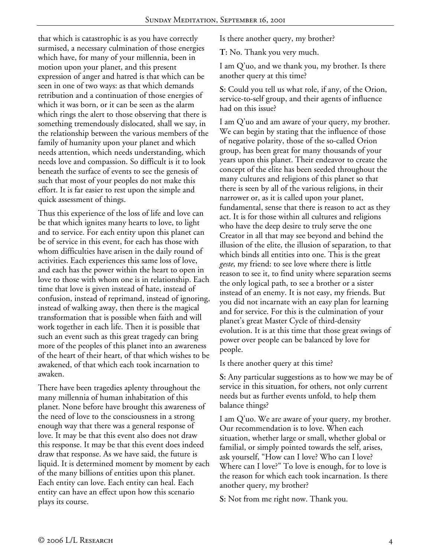that which is catastrophic is as you have correctly surmised, a necessary culmination of those energies which have, for many of your millennia, been in motion upon your planet, and this present expression of anger and hatred is that which can be seen in one of two ways: as that which demands retribution and a continuation of those energies of which it was born, or it can be seen as the alarm which rings the alert to those observing that there is something tremendously dislocated, shall we say, in the relationship between the various members of the family of humanity upon your planet and which needs attention, which needs understanding, which needs love and compassion. So difficult is it to look beneath the surface of events to see the genesis of such that most of your peoples do not make this effort. It is far easier to rest upon the simple and quick assessment of things.

Thus this experience of the loss of life and love can be that which ignites many hearts to love, to light and to service. For each entity upon this planet can be of service in this event, for each has those with whom difficulties have arisen in the daily round of activities. Each experiences this same loss of love, and each has the power within the heart to open in love to those with whom one is in relationship. Each time that love is given instead of hate, instead of confusion, instead of reprimand, instead of ignoring, instead of walking away, then there is the magical transformation that is possible when faith and will work together in each life. Then it is possible that such an event such as this great tragedy can bring more of the peoples of this planet into an awareness of the heart of their heart, of that which wishes to be awakened, of that which each took incarnation to awaken.

There have been tragedies aplenty throughout the many millennia of human inhabitation of this planet. None before have brought this awareness of the need of love to the consciousness in a strong enough way that there was a general response of love. It may be that this event also does not draw this response. It may be that this event does indeed draw that response. As we have said, the future is liquid. It is determined moment by moment by each of the many billions of entities upon this planet. Each entity can love. Each entity can heal. Each entity can have an effect upon how this scenario plays its course.

Is there another query, my brother?

**T:** No. Thank you very much.

I am Q'uo, and we thank you, my brother. Is there another query at this time?

**S:** Could you tell us what role, if any, of the Orion, service-to-self group, and their agents of influence had on this issue?

I am Q'uo and am aware of your query, my brother. We can begin by stating that the influence of those of negative polarity, those of the so-called Orion group, has been great for many thousands of your years upon this planet. Their endeavor to create the concept of the elite has been seeded throughout the many cultures and religions of this planet so that there is seen by all of the various religions, in their narrower or, as it is called upon your planet, fundamental, sense that there is reason to act as they act. It is for those within all cultures and religions who have the deep desire to truly serve the one Creator in all that may see beyond and behind the illusion of the elite, the illusion of separation, to that which binds all entities into one. This is the great *geste*, my friend: to see love where there is little reason to see it, to find unity where separation seems the only logical path, to see a brother or a sister instead of an enemy. It is not easy, my friends. But you did not incarnate with an easy plan for learning and for service. For this is the culmination of your planet's great Master Cycle of third-density evolution. It is at this time that those great swings of power over people can be balanced by love for people.

Is there another query at this time?

**S:** Any particular suggestions as to how we may be of service in this situation, for others, not only current needs but as further events unfold, to help them balance things?

I am Q'uo. We are aware of your query, my brother. Our recommendation is to love. When each situation, whether large or small, whether global or familial, or simply pointed towards the self, arises, ask yourself, "How can I love? Who can I love? Where can I love?" To love is enough, for to love is the reason for which each took incarnation. Is there another query, my brother?

**S:** Not from me right now. Thank you.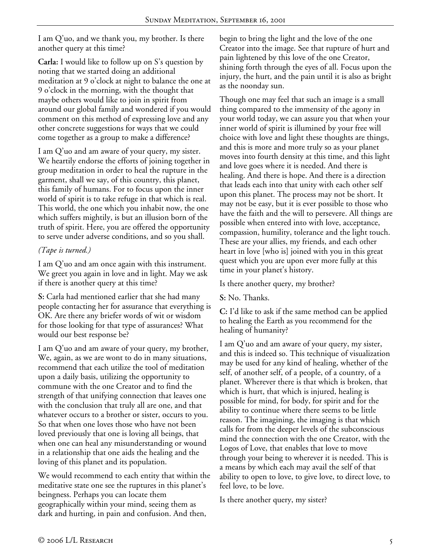I am Q'uo, and we thank you, my brother. Is there another query at this time?

**Carla:** I would like to follow up on S's question by noting that we started doing an additional meditation at 9 o'clock at night to balance the one at 9 o'clock in the morning, with the thought that maybe others would like to join in spirit from around our global family and wondered if you would comment on this method of expressing love and any other concrete suggestions for ways that we could come together as a group to make a difference?

I am Q'uo and am aware of your query, my sister. We heartily endorse the efforts of joining together in group meditation in order to heal the rupture in the garment, shall we say, of this country, this planet, this family of humans. For to focus upon the inner world of spirit is to take refuge in that which is real. This world, the one which you inhabit now, the one which suffers mightily, is but an illusion born of the truth of spirit. Here, you are offered the opportunity to serve under adverse conditions, and so you shall.

# *(Tape is turned.)*

I am Q'uo and am once again with this instrument. We greet you again in love and in light. May we ask if there is another query at this time?

**S:** Carla had mentioned earlier that she had many people contacting her for assurance that everything is OK. Are there any briefer words of wit or wisdom for those looking for that type of assurances? What would our best response be?

I am Q'uo and am aware of your query, my brother, We, again, as we are wont to do in many situations, recommend that each utilize the tool of meditation upon a daily basis, utilizing the opportunity to commune with the one Creator and to find the strength of that unifying connection that leaves one with the conclusion that truly all are one, and that whatever occurs to a brother or sister, occurs to you. So that when one loves those who have not been loved previously that one is loving all beings, that when one can heal any misunderstanding or wound in a relationship that one aids the healing and the loving of this planet and its population.

We would recommend to each entity that within the meditative state one see the ruptures in this planet's beingness. Perhaps you can locate them geographically within your mind, seeing them as dark and hurting, in pain and confusion. And then,

begin to bring the light and the love of the one Creator into the image. See that rupture of hurt and pain lightened by this love of the one Creator, shining forth through the eyes of all. Focus upon the injury, the hurt, and the pain until it is also as bright as the noonday sun.

Though one may feel that such an image is a small thing compared to the immensity of the agony in your world today, we can assure you that when your inner world of spirit is illumined by your free will choice with love and light these thoughts are things, and this is more and more truly so as your planet moves into fourth density at this time, and this light and love goes where it is needed. And there is healing. And there is hope. And there is a direction that leads each into that unity with each other self upon this planet. The process may not be short. It may not be easy, but it is ever possible to those who have the faith and the will to persevere. All things are possible when entered into with love, acceptance, compassion, humility, tolerance and the light touch. These are your allies, my friends, and each other heart in love [who is] joined with you in this great quest which you are upon ever more fully at this time in your planet's history.

Is there another query, my brother?

**S:** No. Thanks.

**C:** I'd like to ask if the same method can be applied to healing the Earth as you recommend for the healing of humanity?

I am Q'uo and am aware of your query, my sister, and this is indeed so. This technique of visualization may be used for any kind of healing, whether of the self, of another self, of a people, of a country, of a planet. Wherever there is that which is broken, that which is hurt, that which is injured, healing is possible for mind, for body, for spirit and for the ability to continue where there seems to be little reason. The imagining, the imaging is that which calls for from the deeper levels of the subconscious mind the connection with the one Creator, with the Logos of Love, that enables that love to move through your being to wherever it is needed. This is a means by which each may avail the self of that ability to open to love, to give love, to direct love, to feel love, to be love.

Is there another query, my sister?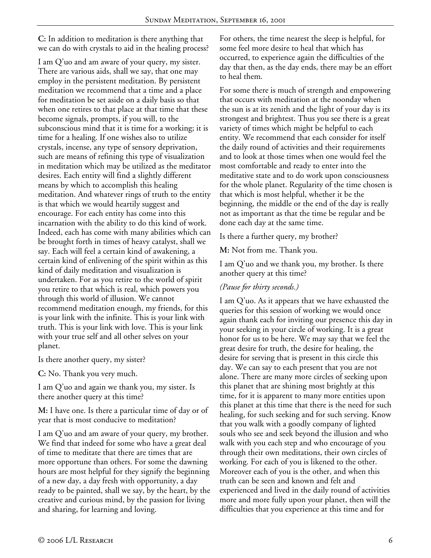**C:** In addition to meditation is there anything that we can do with crystals to aid in the healing process?

I am Q'uo and am aware of your query, my sister. There are various aids, shall we say, that one may employ in the persistent meditation. By persistent meditation we recommend that a time and a place for meditation be set aside on a daily basis so that when one retires to that place at that time that these become signals, prompts, if you will, to the subconscious mind that it is time for a working; it is time for a healing. If one wishes also to utilize crystals, incense, any type of sensory deprivation, such are means of refining this type of visualization in meditation which may be utilized as the meditator desires. Each entity will find a slightly different means by which to accomplish this healing meditation. And whatever rings of truth to the entity is that which we would heartily suggest and encourage. For each entity has come into this incarnation with the ability to do this kind of work. Indeed, each has come with many abilities which can be brought forth in times of heavy catalyst, shall we say. Each will feel a certain kind of awakening, a certain kind of enlivening of the spirit within as this kind of daily meditation and visualization is undertaken. For as you retire to the world of spirit you retire to that which is real, which powers you through this world of illusion. We cannot recommend meditation enough, my friends, for this is your link with the infinite. This is your link with truth. This is your link with love. This is your link with your true self and all other selves on your planet.

Is there another query, my sister?

**C:** No. Thank you very much.

I am Q'uo and again we thank you, my sister. Is there another query at this time?

**M:** I have one. Is there a particular time of day or of year that is most conducive to meditation?

I am Q'uo and am aware of your query, my brother. We find that indeed for some who have a great deal of time to meditate that there are times that are more opportune than others. For some the dawning hours are most helpful for they signify the beginning of a new day, a day fresh with opportunity, a day ready to be painted, shall we say, by the heart, by the creative and curious mind, by the passion for living and sharing, for learning and loving.

For others, the time nearest the sleep is helpful, for some feel more desire to heal that which has occurred, to experience again the difficulties of the day that then, as the day ends, there may be an effort to heal them.

For some there is much of strength and empowering that occurs with meditation at the noonday when the sun is at its zenith and the light of your day is its strongest and brightest. Thus you see there is a great variety of times which might be helpful to each entity. We recommend that each consider for itself the daily round of activities and their requirements and to look at those times when one would feel the most comfortable and ready to enter into the meditative state and to do work upon consciousness for the whole planet. Regularity of the time chosen is that which is most helpful, whether it be the beginning, the middle or the end of the day is really not as important as that the time be regular and be done each day at the same time.

Is there a further query, my brother?

**M:** Not from me. Thank you.

I am Q'uo and we thank you, my brother. Is there another query at this time?

### *(Pause for thirty seconds.)*

I am Q'uo. As it appears that we have exhausted the queries for this session of working we would once again thank each for inviting our presence this day in your seeking in your circle of working. It is a great honor for us to be here. We may say that we feel the great desire for truth, the desire for healing, the desire for serving that is present in this circle this day. We can say to each present that you are not alone. There are many more circles of seeking upon this planet that are shining most brightly at this time, for it is apparent to many more entities upon this planet at this time that there is the need for such healing, for such seeking and for such serving. Know that you walk with a goodly company of lighted souls who see and seek beyond the illusion and who walk with you each step and who encourage of you through their own meditations, their own circles of working. For each of you is likened to the other. Moreover each of you is the other, and when this truth can be seen and known and felt and experienced and lived in the daily round of activities more and more fully upon your planet, then will the difficulties that you experience at this time and for